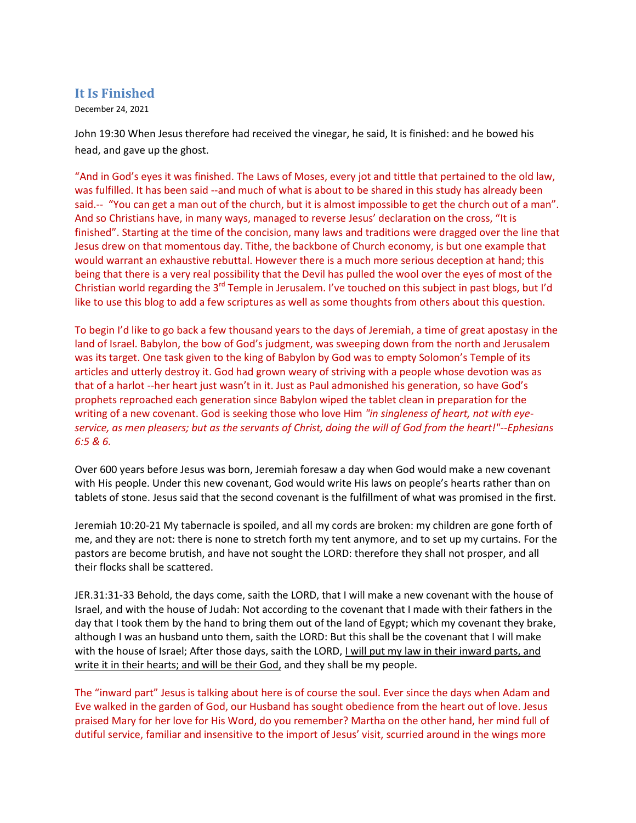## **It Is Finished**

December 24, 2021

John 19:30 When Jesus therefore had received the vinegar, he said, It is finished: and he bowed his head, and gave up the ghost.

"And in God's eyes it was finished. The Laws of Moses, every jot and tittle that pertained to the old law, was fulfilled. It has been said --and much of what is about to be shared in this study has already been said.-- "You can get a man out of the church, but it is almost impossible to get the church out of a man". And so Christians have, in many ways, managed to reverse Jesus' declaration on the cross, "It is finished". Starting at the time of the concision, many laws and traditions were dragged over the line that Jesus drew on that momentous day. Tithe, the backbone of Church economy, is but one example that would warrant an exhaustive rebuttal. However there is a much more serious deception at hand; this being that there is a very real possibility that the Devil has pulled the wool over the eyes of most of the Christian world regarding the 3<sup>rd</sup> Temple in Jerusalem. I've touched on this subject in past blogs, but I'd like to use this blog to add a few scriptures as well as some thoughts from others about this question.

To begin I'd like to go back a few thousand years to the days of Jeremiah, a time of great apostasy in the land of Israel. Babylon, the bow of God's judgment, was sweeping down from the north and Jerusalem was its target. One task given to the king of Babylon by God was to empty Solomon's Temple of its articles and utterly destroy it. God had grown weary of striving with a people whose devotion was as that of a harlot --her heart just wasn't in it. Just as Paul admonished his generation, so have God's prophets reproached each generation since Babylon wiped the tablet clean in preparation for the writing of a new covenant. God is seeking those who love Him *"in singleness of heart, not with eyeservice, as men pleasers; but as the servants of Christ, doing the will of God from the heart!"--Ephesians 6:5 & 6.*

Over 600 years before Jesus was born, Jeremiah foresaw a day when God would make a new covenant with His people. Under this new covenant, God would write His laws on people's hearts rather than on tablets of stone. Jesus said that the second covenant is the fulfillment of what was promised in the first.

Jeremiah 10:20-21 My tabernacle is spoiled, and all my cords are broken: my children are gone forth of me, and they are not: there is none to stretch forth my tent anymore, and to set up my curtains. For the pastors are become brutish, and have not sought the LORD: therefore they shall not prosper, and all their flocks shall be scattered.

JER.31:31-33 Behold, the days come, saith the LORD, that I will make a new covenant with the house of Israel, and with the house of Judah: Not according to the covenant that I made with their fathers in the day that I took them by the hand to bring them out of the land of Egypt; which my covenant they brake, although I was an husband unto them, saith the LORD: But this shall be the covenant that I will make with the house of Israel; After those days, saith the LORD, I will put my law in their inward parts, and write it in their hearts; and will be their God, and they shall be my people.

The "inward part" Jesus is talking about here is of course the soul. Ever since the days when Adam and Eve walked in the garden of God, our Husband has sought obedience from the heart out of love. Jesus praised Mary for her love for His Word, do you remember? Martha on the other hand, her mind full of dutiful service, familiar and insensitive to the import of Jesus' visit, scurried around in the wings more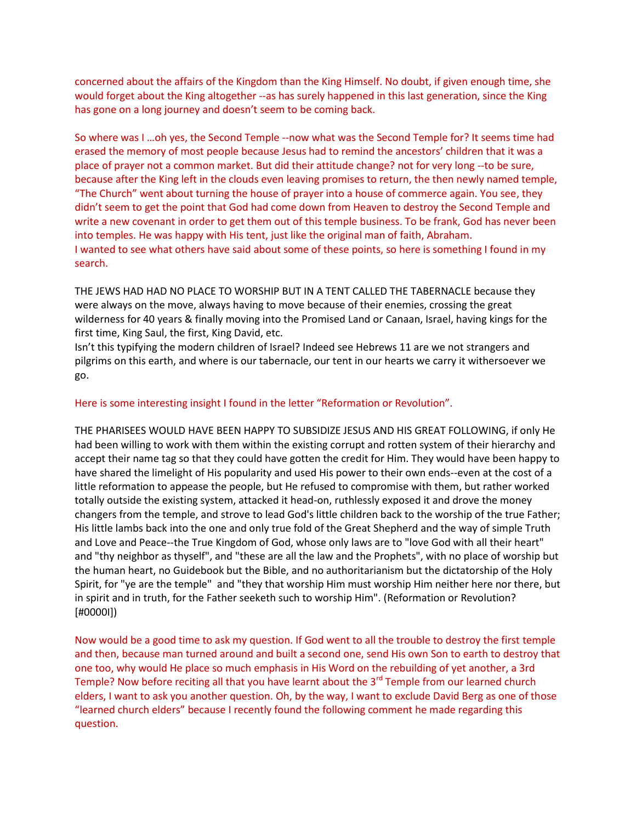concerned about the affairs of the Kingdom than the King Himself. No doubt, if given enough time, she would forget about the King altogether --as has surely happened in this last generation, since the King has gone on a long journey and doesn't seem to be coming back.

So where was I …oh yes, the Second Temple --now what was the Second Temple for? It seems time had erased the memory of most people because Jesus had to remind the ancestors' children that it was a place of prayer not a common market. But did their attitude change? not for very long --to be sure, because after the King left in the clouds even leaving promises to return, the then newly named temple, "The Church" went about turning the house of prayer into a house of commerce again. You see, they didn't seem to get the point that God had come down from Heaven to destroy the Second Temple and write a new covenant in order to get them out of this temple business. To be frank, God has never been into temples. He was happy with His tent, just like the original man of faith, Abraham. I wanted to see what others have said about some of these points, so here is something I found in my search.

THE JEWS HAD HAD NO PLACE TO WORSHIP BUT IN A TENT CALLED THE TABERNACLE because they were always on the move, always having to move because of their enemies, crossing the great wilderness for 40 years & finally moving into the Promised Land or Canaan, Israel, having kings for the first time, King Saul, the first, King David, etc.

Isn't this typifying the modern children of Israel? Indeed see Hebrews 11 are we not strangers and pilgrims on this earth, and where is our tabernacle, our tent in our hearts we carry it withersoever we go.

## Here is some interesting insight I found in the letter "Reformation or Revolution".

THE PHARISEES WOULD HAVE BEEN HAPPY TO SUBSIDIZE JESUS AND HIS GREAT FOLLOWING, if only He had been willing to work with them within the existing corrupt and rotten system of their hierarchy and accept their name tag so that they could have gotten the credit for Him. They would have been happy to have shared the limelight of His popularity and used His power to their own ends--even at the cost of a little reformation to appease the people, but He refused to compromise with them, but rather worked totally outside the existing system, attacked it head-on, ruthlessly exposed it and drove the money changers from the temple, and strove to lead God's little children back to the worship of the true Father; His little lambs back into the one and only true fold of the Great Shepherd and the way of simple Truth and Love and Peace--the True Kingdom of God, whose only laws are to "love God with all their heart" and "thy neighbor as thyself", and "these are all the law and the Prophets", with no place of worship but the human heart, no Guidebook but the Bible, and no authoritarianism but the dictatorship of the Holy Spirit, for "ye are the temple" and "they that worship Him must worship Him neither here nor there, but in spirit and in truth, for the Father seeketh such to worship Him". (Reformation or Revolution? [#0000I])

Now would be a good time to ask my question. If God went to all the trouble to destroy the first temple and then, because man turned around and built a second one, send His own Son to earth to destroy that one too, why would He place so much emphasis in His Word on the rebuilding of yet another, a 3rd Temple? Now before reciting all that you have learnt about the 3<sup>rd</sup> Temple from our learned church elders, I want to ask you another question. Oh, by the way, I want to exclude David Berg as one of those "learned church elders" because I recently found the following comment he made regarding this question.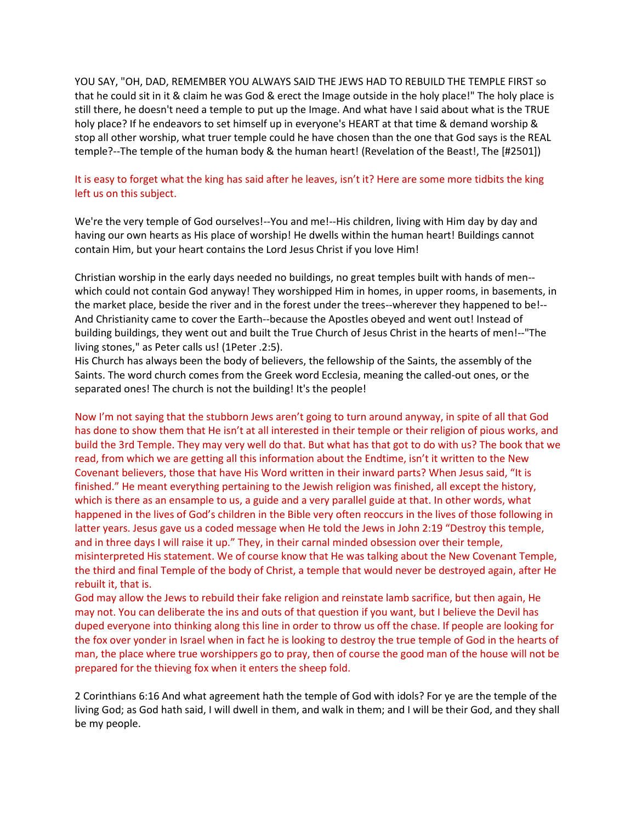YOU SAY, "OH, DAD, REMEMBER YOU ALWAYS SAID THE JEWS HAD TO REBUILD THE TEMPLE FIRST so that he could sit in it & claim he was God & erect the Image outside in the holy place!" The holy place is still there, he doesn't need a temple to put up the Image. And what have I said about what is the TRUE holy place? If he endeavors to set himself up in everyone's HEART at that time & demand worship & stop all other worship, what truer temple could he have chosen than the one that God says is the REAL temple?--The temple of the human body & the human heart! (Revelation of the Beast!, The [#2501])

## It is easy to forget what the king has said after he leaves, isn't it? Here are some more tidbits the king left us on this subject.

We're the very temple of God ourselves!--You and me!--His children, living with Him day by day and having our own hearts as His place of worship! He dwells within the human heart! Buildings cannot contain Him, but your heart contains the Lord Jesus Christ if you love Him!

Christian worship in the early days needed no buildings, no great temples built with hands of men- which could not contain God anyway! They worshipped Him in homes, in upper rooms, in basements, in the market place, beside the river and in the forest under the trees--wherever they happened to be!-- And Christianity came to cover the Earth--because the Apostles obeyed and went out! Instead of building buildings, they went out and built the True Church of Jesus Christ in the hearts of men!--"The living stones," as Peter calls us! (1Peter .2:5).

His Church has always been the body of believers, the fellowship of the Saints, the assembly of the Saints. The word church comes from the Greek word Ecclesia, meaning the called-out ones, or the separated ones! The church is not the building! It's the people!

Now I'm not saying that the stubborn Jews aren't going to turn around anyway, in spite of all that God has done to show them that He isn't at all interested in their temple or their religion of pious works, and build the 3rd Temple. They may very well do that. But what has that got to do with us? The book that we read, from which we are getting all this information about the Endtime, isn't it written to the New Covenant believers, those that have His Word written in their inward parts? When Jesus said, "It is finished." He meant everything pertaining to the Jewish religion was finished, all except the history, which is there as an ensample to us, a guide and a very parallel guide at that. In other words, what happened in the lives of God's children in the Bible very often reoccurs in the lives of those following in latter years. Jesus gave us a coded message when He told the Jews in John 2:19 "Destroy this temple, and in three days I will raise it up." They, in their carnal minded obsession over their temple, misinterpreted His statement. We of course know that He was talking about the New Covenant Temple, the third and final Temple of the body of Christ, a temple that would never be destroyed again, after He rebuilt it, that is.

God may allow the Jews to rebuild their fake religion and reinstate lamb sacrifice, but then again, He may not. You can deliberate the ins and outs of that question if you want, but I believe the Devil has duped everyone into thinking along this line in order to throw us off the chase. If people are looking for the fox over yonder in Israel when in fact he is looking to destroy the true temple of God in the hearts of man, the place where true worshippers go to pray, then of course the good man of the house will not be prepared for the thieving fox when it enters the sheep fold.

2 Corinthians 6:16 And what agreement hath the temple of God with idols? For ye are the temple of the living God; as God hath said, I will dwell in them, and walk in them; and I will be their God, and they shall be my people.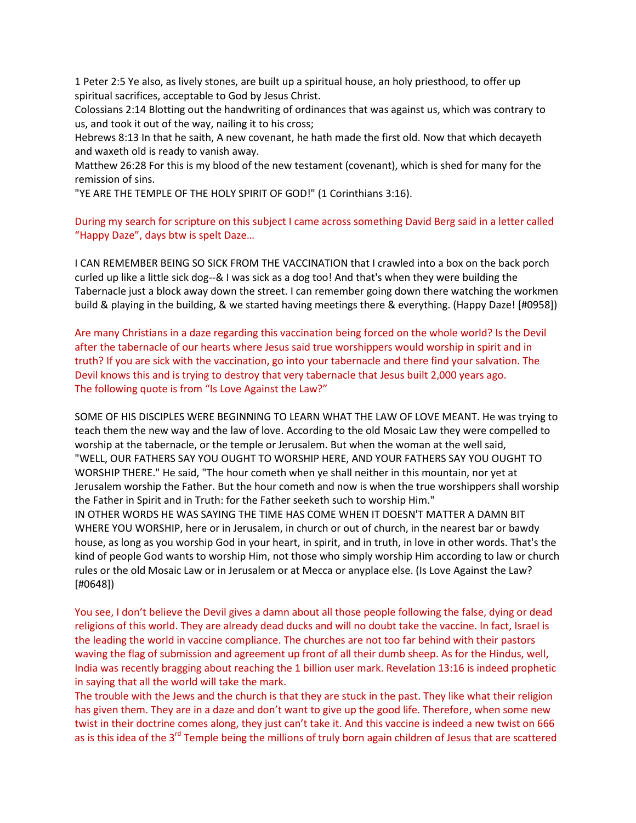1 Peter 2:5 Ye also, as lively stones, are built up a spiritual house, an holy priesthood, to offer up spiritual sacrifices, acceptable to God by Jesus Christ.

Colossians 2:14 Blotting out the handwriting of ordinances that was against us, which was contrary to us, and took it out of the way, nailing it to his cross;

Hebrews 8:13 In that he saith, A new covenant, he hath made the first old. Now that which decayeth and waxeth old is ready to vanish away.

Matthew 26:28 For this is my blood of the new testament (covenant), which is shed for many for the remission of sins.

"YE ARE THE TEMPLE OF THE HOLY SPIRIT OF GOD!" (1 Corinthians 3:16).

During my search for scripture on this subject I came across something David Berg said in a letter called "Happy Daze", days btw is spelt Daze…

I CAN REMEMBER BEING SO SICK FROM THE VACCINATION that I crawled into a box on the back porch curled up like a little sick dog--& I was sick as a dog too! And that's when they were building the Tabernacle just a block away down the street. I can remember going down there watching the workmen build & playing in the building, & we started having meetings there & everything. (Happy Daze! [#0958])

Are many Christians in a daze regarding this vaccination being forced on the whole world? Is the Devil after the tabernacle of our hearts where Jesus said true worshippers would worship in spirit and in truth? If you are sick with the vaccination, go into your tabernacle and there find your salvation. The Devil knows this and is trying to destroy that very tabernacle that Jesus built 2,000 years ago. The following quote is from "Is Love Against the Law?"

SOME OF HIS DISCIPLES WERE BEGINNING TO LEARN WHAT THE LAW OF LOVE MEANT. He was trying to teach them the new way and the law of love. According to the old Mosaic Law they were compelled to worship at the tabernacle, or the temple or Jerusalem. But when the woman at the well said, "WELL, OUR FATHERS SAY YOU OUGHT TO WORSHIP HERE, AND YOUR FATHERS SAY YOU OUGHT TO WORSHIP THERE." He said, "The hour cometh when ye shall neither in this mountain, nor yet at Jerusalem worship the Father. But the hour cometh and now is when the true worshippers shall worship the Father in Spirit and in Truth: for the Father seeketh such to worship Him." IN OTHER WORDS HE WAS SAYING THE TIME HAS COME WHEN IT DOESN'T MATTER A DAMN BIT WHERE YOU WORSHIP, here or in Jerusalem, in church or out of church, in the nearest bar or bawdy house, as long as you worship God in your heart, in spirit, and in truth, in love in other words. That's the kind of people God wants to worship Him, not those who simply worship Him according to law or church rules or the old Mosaic Law or in Jerusalem or at Mecca or anyplace else. (Is Love Against the Law? [#0648])

You see, I don't believe the Devil gives a damn about all those people following the false, dying or dead religions of this world. They are already dead ducks and will no doubt take the vaccine. In fact, Israel is the leading the world in vaccine compliance. The churches are not too far behind with their pastors waving the flag of submission and agreement up front of all their dumb sheep. As for the Hindus, well, India was recently bragging about reaching the 1 billion user mark. Revelation 13:16 is indeed prophetic in saying that all the world will take the mark.

The trouble with the Jews and the church is that they are stuck in the past. They like what their religion has given them. They are in a daze and don't want to give up the good life. Therefore, when some new twist in their doctrine comes along, they just can't take it. And this vaccine is indeed a new twist on 666 as is this idea of the 3<sup>rd</sup> Temple being the millions of truly born again children of Jesus that are scattered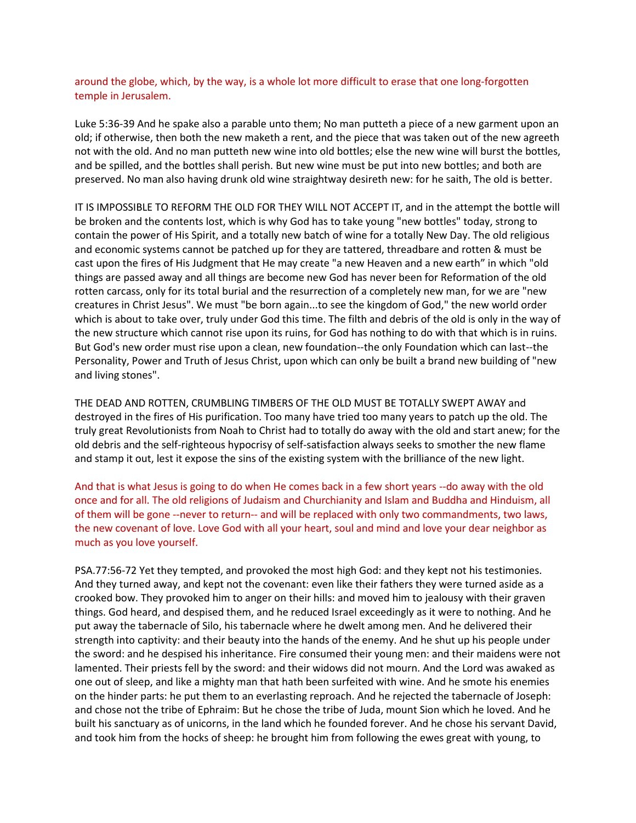around the globe, which, by the way, is a whole lot more difficult to erase that one long-forgotten temple in Jerusalem.

Luke 5:36-39 And he spake also a parable unto them; No man putteth a piece of a new garment upon an old; if otherwise, then both the new maketh a rent, and the piece that was taken out of the new agreeth not with the old. And no man putteth new wine into old bottles; else the new wine will burst the bottles, and be spilled, and the bottles shall perish. But new wine must be put into new bottles; and both are preserved. No man also having drunk old wine straightway desireth new: for he saith, The old is better.

IT IS IMPOSSIBLE TO REFORM THE OLD FOR THEY WILL NOT ACCEPT IT, and in the attempt the bottle will be broken and the contents lost, which is why God has to take young "new bottles" today, strong to contain the power of His Spirit, and a totally new batch of wine for a totally New Day. The old religious and economic systems cannot be patched up for they are tattered, threadbare and rotten & must be cast upon the fires of His Judgment that He may create "a new Heaven and a new earth" in which "old things are passed away and all things are become new God has never been for Reformation of the old rotten carcass, only for its total burial and the resurrection of a completely new man, for we are "new creatures in Christ Jesus". We must "be born again...to see the kingdom of God," the new world order which is about to take over, truly under God this time. The filth and debris of the old is only in the way of the new structure which cannot rise upon its ruins, for God has nothing to do with that which is in ruins. But God's new order must rise upon a clean, new foundation--the only Foundation which can last--the Personality, Power and Truth of Jesus Christ, upon which can only be built a brand new building of "new and living stones".

THE DEAD AND ROTTEN, CRUMBLING TIMBERS OF THE OLD MUST BE TOTALLY SWEPT AWAY and destroyed in the fires of His purification. Too many have tried too many years to patch up the old. The truly great Revolutionists from Noah to Christ had to totally do away with the old and start anew; for the old debris and the self-righteous hypocrisy of self-satisfaction always seeks to smother the new flame and stamp it out, lest it expose the sins of the existing system with the brilliance of the new light.

And that is what Jesus is going to do when He comes back in a few short years --do away with the old once and for all. The old religions of Judaism and Churchianity and Islam and Buddha and Hinduism, all of them will be gone --never to return-- and will be replaced with only two commandments, two laws, the new covenant of love. Love God with all your heart, soul and mind and love your dear neighbor as much as you love yourself.

PSA.77:56-72 Yet they tempted, and provoked the most high God: and they kept not his testimonies. And they turned away, and kept not the covenant: even like their fathers they were turned aside as a crooked bow. They provoked him to anger on their hills: and moved him to jealousy with their graven things. God heard, and despised them, and he reduced Israel exceedingly as it were to nothing. And he put away the tabernacle of Silo, his tabernacle where he dwelt among men. And he delivered their strength into captivity: and their beauty into the hands of the enemy. And he shut up his people under the sword: and he despised his inheritance. Fire consumed their young men: and their maidens were not lamented. Their priests fell by the sword: and their widows did not mourn. And the Lord was awaked as one out of sleep, and like a mighty man that hath been surfeited with wine. And he smote his enemies on the hinder parts: he put them to an everlasting reproach. And he rejected the tabernacle of Joseph: and chose not the tribe of Ephraim: But he chose the tribe of Juda, mount Sion which he loved. And he built his sanctuary as of unicorns, in the land which he founded forever. And he chose his servant David, and took him from the hocks of sheep: he brought him from following the ewes great with young, to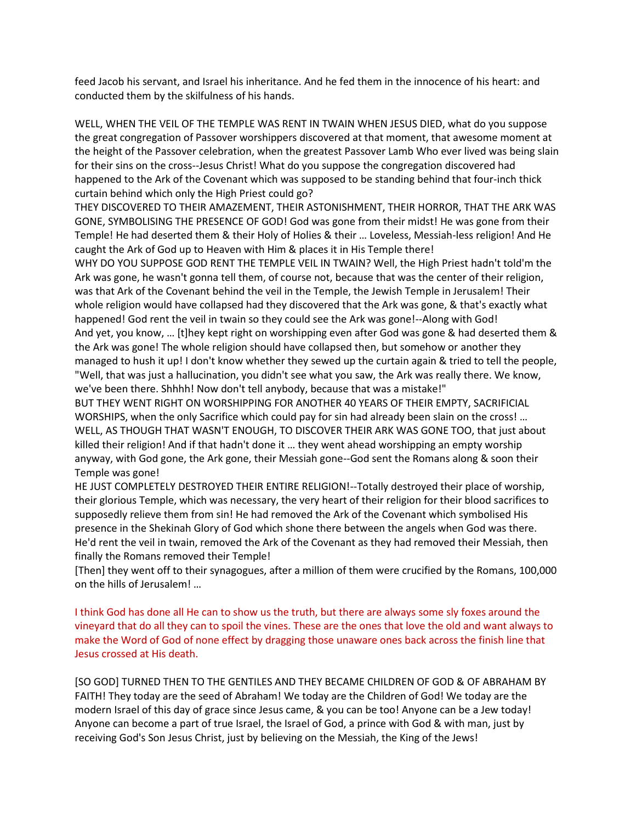feed Jacob his servant, and Israel his inheritance. And he fed them in the innocence of his heart: and conducted them by the skilfulness of his hands.

WELL, WHEN THE VEIL OF THE TEMPLE WAS RENT IN TWAIN WHEN JESUS DIED, what do you suppose the great congregation of Passover worshippers discovered at that moment, that awesome moment at the height of the Passover celebration, when the greatest Passover Lamb Who ever lived was being slain for their sins on the cross--Jesus Christ! What do you suppose the congregation discovered had happened to the Ark of the Covenant which was supposed to be standing behind that four-inch thick curtain behind which only the High Priest could go?

THEY DISCOVERED TO THEIR AMAZEMENT, THEIR ASTONISHMENT, THEIR HORROR, THAT THE ARK WAS GONE, SYMBOLISING THE PRESENCE OF GOD! God was gone from their midst! He was gone from their Temple! He had deserted them & their Holy of Holies & their … Loveless, Messiah-less religion! And He caught the Ark of God up to Heaven with Him & places it in His Temple there!

WHY DO YOU SUPPOSE GOD RENT THE TEMPLE VEIL IN TWAIN? Well, the High Priest hadn't told'm the Ark was gone, he wasn't gonna tell them, of course not, because that was the center of their religion, was that Ark of the Covenant behind the veil in the Temple, the Jewish Temple in Jerusalem! Their whole religion would have collapsed had they discovered that the Ark was gone, & that's exactly what happened! God rent the veil in twain so they could see the Ark was gone!--Along with God! And yet, you know, … [t]hey kept right on worshipping even after God was gone & had deserted them & the Ark was gone! The whole religion should have collapsed then, but somehow or another they managed to hush it up! I don't know whether they sewed up the curtain again & tried to tell the people, "Well, that was just a hallucination, you didn't see what you saw, the Ark was really there. We know, we've been there. Shhhh! Now don't tell anybody, because that was a mistake!"

BUT THEY WENT RIGHT ON WORSHIPPING FOR ANOTHER 40 YEARS OF THEIR EMPTY, SACRIFICIAL WORSHIPS, when the only Sacrifice which could pay for sin had already been slain on the cross! … WELL, AS THOUGH THAT WASN'T ENOUGH, TO DISCOVER THEIR ARK WAS GONE TOO, that just about killed their religion! And if that hadn't done it … they went ahead worshipping an empty worship anyway, with God gone, the Ark gone, their Messiah gone--God sent the Romans along & soon their Temple was gone!

HE JUST COMPLETELY DESTROYED THEIR ENTIRE RELIGION!--Totally destroyed their place of worship, their glorious Temple, which was necessary, the very heart of their religion for their blood sacrifices to supposedly relieve them from sin! He had removed the Ark of the Covenant which symbolised His presence in the Shekinah Glory of God which shone there between the angels when God was there. He'd rent the veil in twain, removed the Ark of the Covenant as they had removed their Messiah, then finally the Romans removed their Temple!

[Then] they went off to their synagogues, after a million of them were crucified by the Romans, 100,000 on the hills of Jerusalem! …

I think God has done all He can to show us the truth, but there are always some sly foxes around the vineyard that do all they can to spoil the vines. These are the ones that love the old and want always to make the Word of God of none effect by dragging those unaware ones back across the finish line that Jesus crossed at His death.

[SO GOD] TURNED THEN TO THE GENTILES AND THEY BECAME CHILDREN OF GOD & OF ABRAHAM BY FAITH! They today are the seed of Abraham! We today are the Children of God! We today are the modern Israel of this day of grace since Jesus came, & you can be too! Anyone can be a Jew today! Anyone can become a part of true Israel, the Israel of God, a prince with God & with man, just by receiving God's Son Jesus Christ, just by believing on the Messiah, the King of the Jews!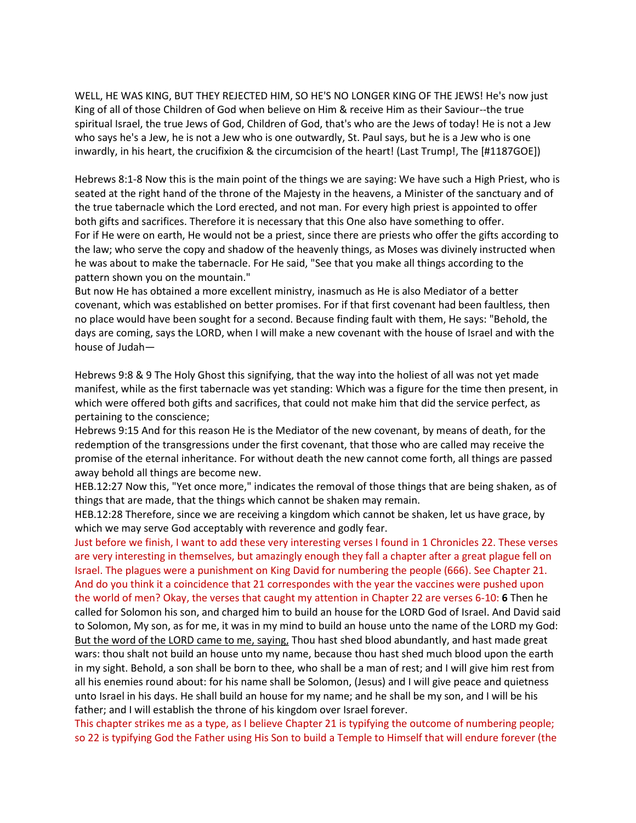WELL, HE WAS KING, BUT THEY REJECTED HIM, SO HE'S NO LONGER KING OF THE JEWS! He's now just King of all of those Children of God when believe on Him & receive Him as their Saviour--the true spiritual Israel, the true Jews of God, Children of God, that's who are the Jews of today! He is not a Jew who says he's a Jew, he is not a Jew who is one outwardly, St. Paul says, but he is a Jew who is one inwardly, in his heart, the crucifixion & the circumcision of the heart! (Last Trump!, The [#1187GOE])

Hebrews 8:1-8 Now this is the main point of the things we are saying: We have such a High Priest, who is seated at the right hand of the throne of the Majesty in the heavens, a Minister of the sanctuary and of the true tabernacle which the Lord erected, and not man. For every high priest is appointed to offer both gifts and sacrifices. Therefore it is necessary that this One also have something to offer. For if He were on earth, He would not be a priest, since there are priests who offer the gifts according to the law; who serve the copy and shadow of the heavenly things, as Moses was divinely instructed when he was about to make the tabernacle. For He said, "See that you make all things according to the pattern shown you on the mountain."

But now He has obtained a more excellent ministry, inasmuch as He is also Mediator of a better covenant, which was established on better promises. For if that first covenant had been faultless, then no place would have been sought for a second. Because finding fault with them, He says: "Behold, the days are coming, says the LORD, when I will make a new covenant with the house of Israel and with the house of Judah—

Hebrews 9:8 & 9 The Holy Ghost this signifying, that the way into the holiest of all was not yet made manifest, while as the first tabernacle was yet standing: Which was a figure for the time then present, in which were offered both gifts and sacrifices, that could not make him that did the service perfect, as pertaining to the conscience;

Hebrews 9:15 And for this reason He is the Mediator of the new covenant, by means of death, for the redemption of the transgressions under the first covenant, that those who are called may receive the promise of the eternal inheritance. For without death the new cannot come forth, all things are passed away behold all things are become new.

HEB.12:27 Now this, "Yet once more," indicates the removal of those things that are being shaken, as of things that are made, that the things which cannot be shaken may remain.

HEB.12:28 Therefore, since we are receiving a kingdom which cannot be shaken, let us have grace, by which we may serve God acceptably with reverence and godly fear.

Just before we finish, I want to add these very interesting verses I found in 1 Chronicles 22. These verses are very interesting in themselves, but amazingly enough they fall a chapter after a great plague fell on Israel. The plagues were a punishment on King David for numbering the people (666). See Chapter 21. And do you think it a coincidence that 21 correspondes with the year the vaccines were pushed upon the world of men? Okay, the verses that caught my attention in Chapter 22 are verses 6-10: **6** Then he called for Solomon his son, and charged him to build an house for the LORD God of Israel. And David said to Solomon, My son, as for me, it was in my mind to build an house unto the name of the LORD my God: But the word of the LORD came to me, saying, Thou hast shed blood abundantly, and hast made great wars: thou shalt not build an house unto my name, because thou hast shed much blood upon the earth in my sight. Behold, a son shall be born to thee, who shall be a man of rest; and I will give him rest from all his enemies round about: for his name shall be Solomon, (Jesus) and I will give peace and quietness unto Israel in his days. He shall build an house for my name; and he shall be my son, and I will be his father; and I will establish the throne of his kingdom over Israel forever.

This chapter strikes me as a type, as I believe Chapter 21 is typifying the outcome of numbering people; so 22 is typifying God the Father using His Son to build a Temple to Himself that will endure forever (the